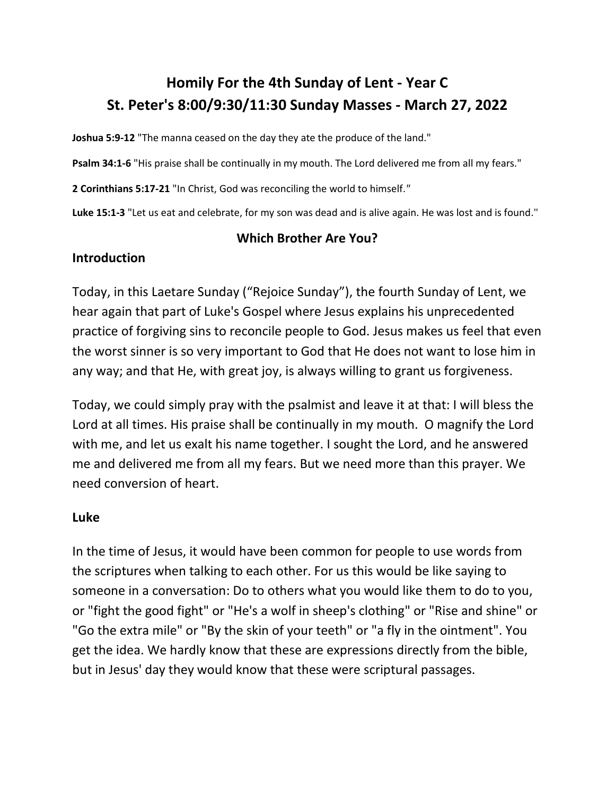# **Homily For the 4th Sunday of Lent - Year C St. Peter's 8:00/9:30/11:30 Sunday Masses - March 27, 2022**

**Joshua 5:9-12** "The manna ceased on the day they ate the produce of the land."

**Psalm 34:1-6** "His praise shall be continually in my mouth. The Lord delivered me from all my fears."

**2 Corinthians 5:17-21** "In Christ, God was reconciling the world to himself.*"*

**Luke 15:1-3** "Let us eat and celebrate, for my son was dead and is alive again. He was lost and is found."

#### **Which Brother Are You?**

### **Introduction**

Today, in this Laetare Sunday ("Rejoice Sunday"), the fourth Sunday of Lent, we hear again that part of Luke's Gospel where Jesus explains his unprecedented practice of forgiving sins to reconcile people to God. Jesus makes us feel that even the worst sinner is so very important to God that He does not want to lose him in any way; and that He, with great joy, is always willing to grant us forgiveness.

Today, we could simply pray with the psalmist and leave it at that: I will bless the Lord at all times. His praise shall be continually in my mouth. O magnify the Lord with me, and let us exalt his name together. I sought the Lord, and he answered me and delivered me from all my fears. But we need more than this prayer. We need conversion of heart.

#### **Luke**

In the time of Jesus, it would have been common for people to use words from the scriptures when talking to each other. For us this would be like saying to someone in a conversation: Do to others what you would like them to do to you, or "fight the good fight" or "He's a wolf in sheep's clothing" or "Rise and shine" or "Go the extra mile" or "By the skin of your teeth" or "a fly in the ointment". You get the idea. We hardly know that these are expressions directly from the bible, but in Jesus' day they would know that these were scriptural passages.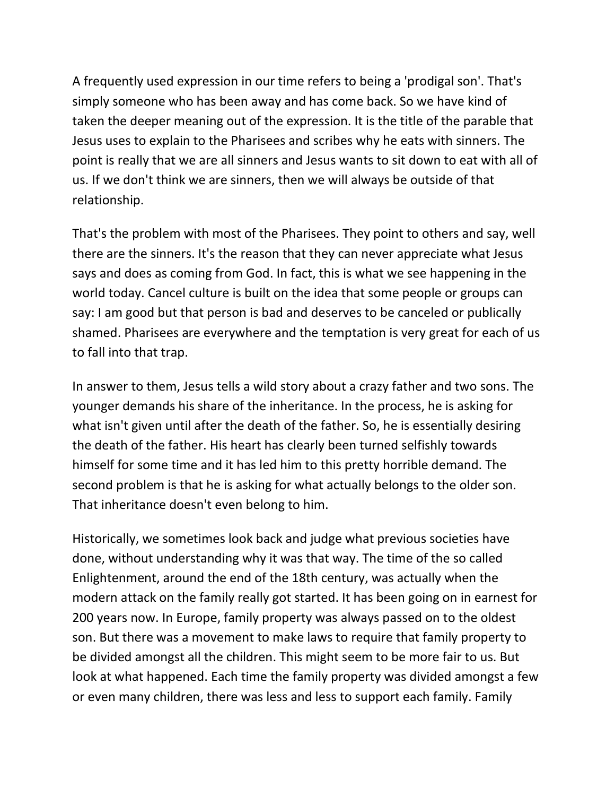A frequently used expression in our time refers to being a 'prodigal son'. That's simply someone who has been away and has come back. So we have kind of taken the deeper meaning out of the expression. It is the title of the parable that Jesus uses to explain to the Pharisees and scribes why he eats with sinners. The point is really that we are all sinners and Jesus wants to sit down to eat with all of us. If we don't think we are sinners, then we will always be outside of that relationship.

That's the problem with most of the Pharisees. They point to others and say, well there are the sinners. It's the reason that they can never appreciate what Jesus says and does as coming from God. In fact, this is what we see happening in the world today. Cancel culture is built on the idea that some people or groups can say: I am good but that person is bad and deserves to be canceled or publically shamed. Pharisees are everywhere and the temptation is very great for each of us to fall into that trap.

In answer to them, Jesus tells a wild story about a crazy father and two sons. The younger demands his share of the inheritance. In the process, he is asking for what isn't given until after the death of the father. So, he is essentially desiring the death of the father. His heart has clearly been turned selfishly towards himself for some time and it has led him to this pretty horrible demand. The second problem is that he is asking for what actually belongs to the older son. That inheritance doesn't even belong to him.

Historically, we sometimes look back and judge what previous societies have done, without understanding why it was that way. The time of the so called Enlightenment, around the end of the 18th century, was actually when the modern attack on the family really got started. It has been going on in earnest for 200 years now. In Europe, family property was always passed on to the oldest son. But there was a movement to make laws to require that family property to be divided amongst all the children. This might seem to be more fair to us. But look at what happened. Each time the family property was divided amongst a few or even many children, there was less and less to support each family. Family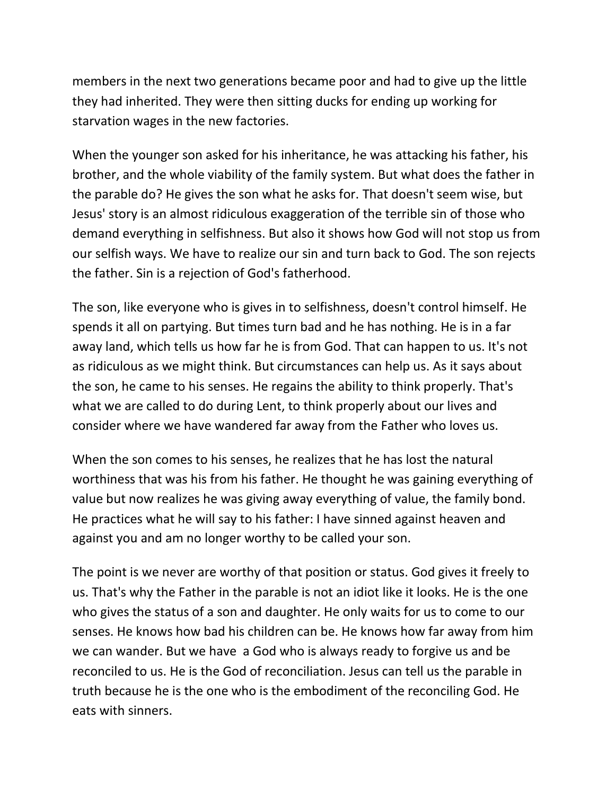members in the next two generations became poor and had to give up the little they had inherited. They were then sitting ducks for ending up working for starvation wages in the new factories.

When the younger son asked for his inheritance, he was attacking his father, his brother, and the whole viability of the family system. But what does the father in the parable do? He gives the son what he asks for. That doesn't seem wise, but Jesus' story is an almost ridiculous exaggeration of the terrible sin of those who demand everything in selfishness. But also it shows how God will not stop us from our selfish ways. We have to realize our sin and turn back to God. The son rejects the father. Sin is a rejection of God's fatherhood.

The son, like everyone who is gives in to selfishness, doesn't control himself. He spends it all on partying. But times turn bad and he has nothing. He is in a far away land, which tells us how far he is from God. That can happen to us. It's not as ridiculous as we might think. But circumstances can help us. As it says about the son, he came to his senses. He regains the ability to think properly. That's what we are called to do during Lent, to think properly about our lives and consider where we have wandered far away from the Father who loves us.

When the son comes to his senses, he realizes that he has lost the natural worthiness that was his from his father. He thought he was gaining everything of value but now realizes he was giving away everything of value, the family bond. He practices what he will say to his father: I have sinned against heaven and against you and am no longer worthy to be called your son.

The point is we never are worthy of that position or status. God gives it freely to us. That's why the Father in the parable is not an idiot like it looks. He is the one who gives the status of a son and daughter. He only waits for us to come to our senses. He knows how bad his children can be. He knows how far away from him we can wander. But we have a God who is always ready to forgive us and be reconciled to us. He is the God of reconciliation. Jesus can tell us the parable in truth because he is the one who is the embodiment of the reconciling God. He eats with sinners.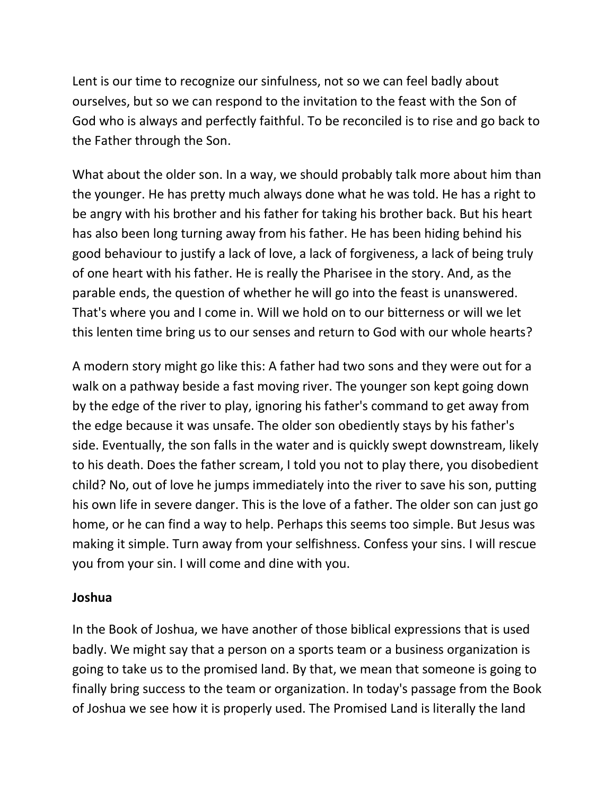Lent is our time to recognize our sinfulness, not so we can feel badly about ourselves, but so we can respond to the invitation to the feast with the Son of God who is always and perfectly faithful. To be reconciled is to rise and go back to the Father through the Son.

What about the older son. In a way, we should probably talk more about him than the younger. He has pretty much always done what he was told. He has a right to be angry with his brother and his father for taking his brother back. But his heart has also been long turning away from his father. He has been hiding behind his good behaviour to justify a lack of love, a lack of forgiveness, a lack of being truly of one heart with his father. He is really the Pharisee in the story. And, as the parable ends, the question of whether he will go into the feast is unanswered. That's where you and I come in. Will we hold on to our bitterness or will we let this lenten time bring us to our senses and return to God with our whole hearts?

A modern story might go like this: A father had two sons and they were out for a walk on a pathway beside a fast moving river. The younger son kept going down by the edge of the river to play, ignoring his father's command to get away from the edge because it was unsafe. The older son obediently stays by his father's side. Eventually, the son falls in the water and is quickly swept downstream, likely to his death. Does the father scream, I told you not to play there, you disobedient child? No, out of love he jumps immediately into the river to save his son, putting his own life in severe danger. This is the love of a father. The older son can just go home, or he can find a way to help. Perhaps this seems too simple. But Jesus was making it simple. Turn away from your selfishness. Confess your sins. I will rescue you from your sin. I will come and dine with you.

# **Joshua**

In the Book of Joshua, we have another of those biblical expressions that is used badly. We might say that a person on a sports team or a business organization is going to take us to the promised land. By that, we mean that someone is going to finally bring success to the team or organization. In today's passage from the Book of Joshua we see how it is properly used. The Promised Land is literally the land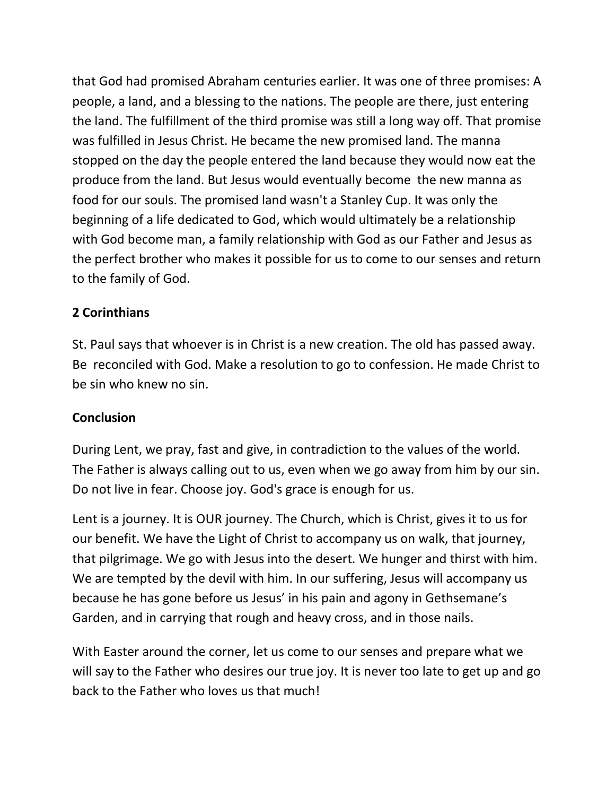that God had promised Abraham centuries earlier. It was one of three promises: A people, a land, and a blessing to the nations. The people are there, just entering the land. The fulfillment of the third promise was still a long way off. That promise was fulfilled in Jesus Christ. He became the new promised land. The manna stopped on the day the people entered the land because they would now eat the produce from the land. But Jesus would eventually become the new manna as food for our souls. The promised land wasn't a Stanley Cup. It was only the beginning of a life dedicated to God, which would ultimately be a relationship with God become man, a family relationship with God as our Father and Jesus as the perfect brother who makes it possible for us to come to our senses and return to the family of God.

# **2 Corinthians**

St. Paul says that whoever is in Christ is a new creation. The old has passed away. Be reconciled with God. Make a resolution to go to confession. He made Christ to be sin who knew no sin.

# **Conclusion**

During Lent, we pray, fast and give, in contradiction to the values of the world. The Father is always calling out to us, even when we go away from him by our sin. Do not live in fear. Choose joy. God's grace is enough for us.

Lent is a journey. It is OUR journey. The Church, which is Christ, gives it to us for our benefit. We have the Light of Christ to accompany us on walk, that journey, that pilgrimage. We go with Jesus into the desert. We hunger and thirst with him. We are tempted by the devil with him. In our suffering, Jesus will accompany us because he has gone before us Jesus' in his pain and agony in Gethsemane's Garden, and in carrying that rough and heavy cross, and in those nails.

With Easter around the corner, let us come to our senses and prepare what we will say to the Father who desires our true joy. It is never too late to get up and go back to the Father who loves us that much!